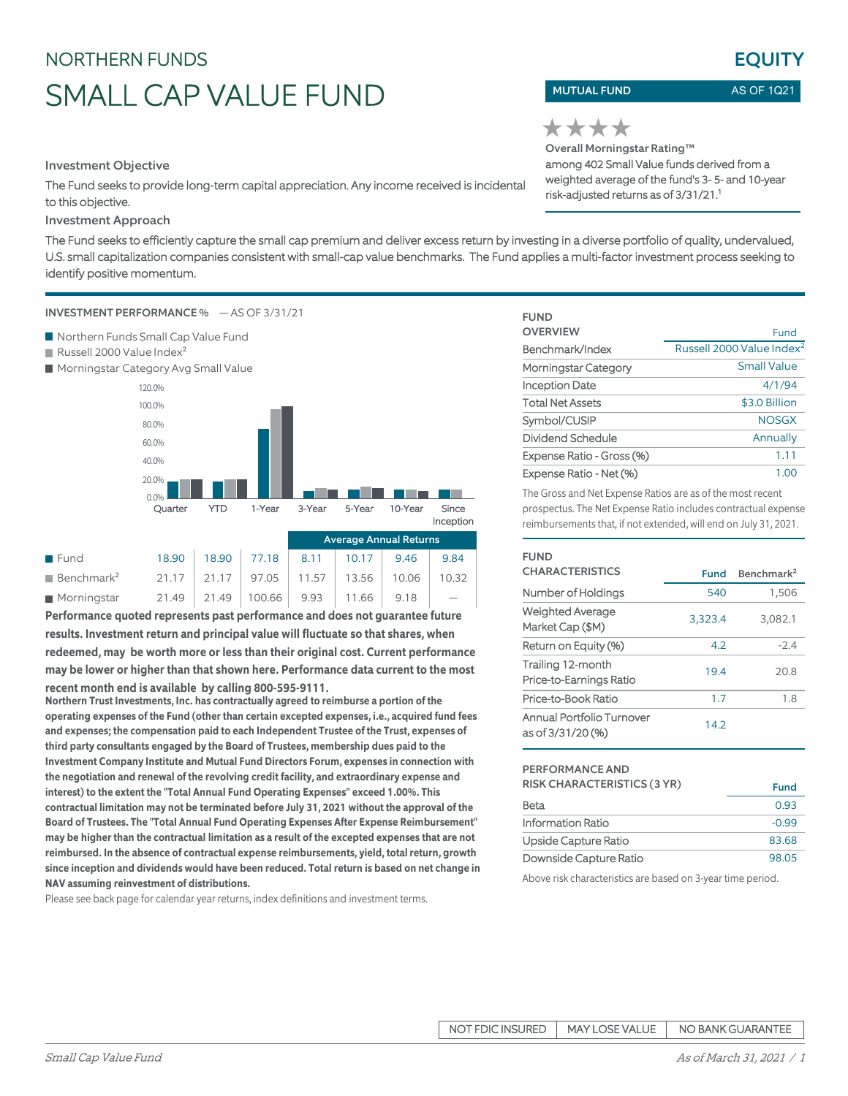# NORTHERN FUNDS SMALL CAP VALUE FUND

Investment Objective

The Fund seeks to provide long-term capital appreciation. Any income received is incidental to this objective.

## Investment Approach

The Fund seeks to efficiently capture the small cap premium and deliver excess return by investing in a diverse portfolio of quality, undervalued, U.S. small capitalization companies consistent with small-cap value benchmarks. The Fund applies a multi-factor investment process seeking to identify positive momentum.

## INVESTMENT PERFORMANCE % — AS OF 3/31/21

- Northern Funds Small Cap Value Fund
- Russell 2000 Value Index<sup>2</sup>
- **Morningstar Category Avg Small Value**



|                               |       |                                         | $1.1.0.01$ and $0.1.1.1.0.001$ . The contract of $1.0$ |       |       |       |  |
|-------------------------------|-------|-----------------------------------------|--------------------------------------------------------|-------|-------|-------|--|
| <b>Fund</b>                   | 18.90 | $18.90$ 77.18                           | 8.11                                                   | 10.17 | 9.46  | 9.84  |  |
| <b>Benchmark</b> <sup>2</sup> |       | $21.17$   21.17   97.05   11.57   13.56 |                                                        |       | 10.06 | 10.32 |  |
| $\blacksquare$ Morningstar    | 21.49 | $21.49$   100.66                        | 9.93                                                   | 11.66 | 9.18  |       |  |

**Performance quoted represents past performance and does not guarantee future results. Investment return and principal value will fluctuate so that shares, when redeemed, may be worth more or less than their original cost. Current performance may be lower or higher than that shown here. Performance data current to the most recent month end is available by calling 800-595-9111.**

**Northern Trust Investments, Inc. has contractually agreed to reimburse a portion of the operating expenses of the Fund (other than certain excepted expenses, i.e., acquired fund fees and expenses; the compensation paid to each Independent Trustee of the Trust, expenses of third party consultants engaged by the Board of Trustees, membership dues paid to the Investment Company Institute and Mutual Fund Directors Forum, expenses in connection with the negotiation and renewal of the revolving credit facility, and extraordinary expense and interest) to the extent the "Total Annual Fund Operating Expenses" exceed 1.00%. This contractual limitation may not be terminated before July 31, 2021 without the approval of the Board of Trustees. The "Total Annual Fund Operating Expenses After Expense Reimbursement" may be higher than the contractual limitation as a result of the excepted expenses that are not reimbursed. In the absence of contractual expense reimbursements, yield, total return, growth since inception and dividends would have been reduced. Total return is based on net change in NAV assuming reinvestment of distributions.**

Please see back page for calendar year returns, index definitions and investment terms.

## MUTUAL FUND

AS OF 1Q21

**EQUITY** 

Overall Morningstar Rating™ ★★★★ among 402 Small Value funds derived from a weighted average of the fund's 3- 5- and 10-year risk-adjusted returns as of 3/31/21.<sup>1</sup>

| <b>FUND</b>               |                                       |
|---------------------------|---------------------------------------|
| <b>OVERVIEW</b>           | Fund                                  |
| Benchmark/Index           | Russell 2000 Value Index <sup>2</sup> |
| Morningstar Category      | Small Value                           |
| Inception Date            | 4/1/94                                |
| <b>Total Net Assets</b>   | \$3.0 Billion                         |
| Symbol/CUSIP              | <b>NOSGX</b>                          |
| Dividend Schedule         | Annually                              |
| Expense Ratio - Gross (%) | 1.11                                  |
| Expense Ratio - Net (%)   | 1.00                                  |

The Gross and Net Expense Ratios are as of the most recent prospectus. The Net Expense Ratio includes contractual expense reimbursements that, if not extended, will end on July 31, 2021.

| FUND<br><b>CHARACTERISTICS</b>                 | Fund    | Benchmark <sup>2</sup> |
|------------------------------------------------|---------|------------------------|
| Number of Holdings                             | 540     | 1,506                  |
| <b>Weighted Average</b><br>Market Cap (\$M)    | 3,323.4 | 3,082.1                |
| Return on Equity (%)                           | 4.2     | $-2.4$                 |
| Trailing 12-month<br>Price-to-Earnings Ratio   | 19.4    | 20.8                   |
| Price-to-Book Ratio                            | 1.7     | 1.8                    |
| Annual Portfolio Turnover<br>as of 3/31/20 (%) | 14.2    |                        |

### PERFORMANCE AND

| <b>RISK CHARACTERISTICS (3 YR)</b> | <b>Fund</b> |
|------------------------------------|-------------|
| Beta                               | 0.93        |
| Information Ratio                  | $-0.99$     |
| Upside Capture Ratio               | 83.68       |
| Downside Capture Ratio             | 98.05       |

Above risk characteristics are based on 3-year time period.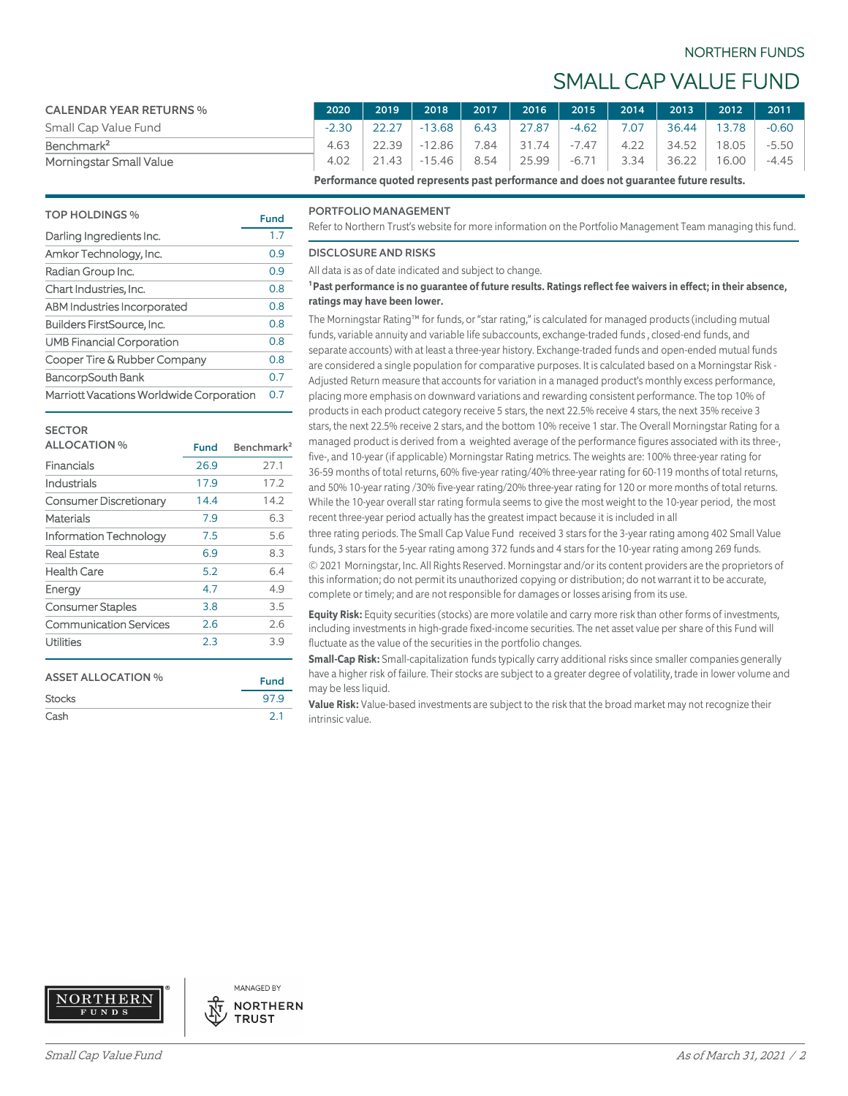## NORTHERN FUNDS

## SMALL CAP VALUE FUND

| <b>CALENDAR YEAR RETURNS %</b>                                                                        | 2020    | 2019  | 2018                                                 |      | 2017 2016 2015 |         | 2014 | $\sqrt{2013}$ | 2012  | 2011    |
|-------------------------------------------------------------------------------------------------------|---------|-------|------------------------------------------------------|------|----------------|---------|------|---------------|-------|---------|
| Small Cap Value Fund                                                                                  | $-2.30$ | 22.27 | $-13.68$                                             | 6.43 | 127.87         | -4.62   | 7.07 | 36.44 13.78   |       | $-0.60$ |
| Benchmark <sup>2</sup>                                                                                | 4.63    | 22.39 | $-12.86$                                             | 7.84 | 31.74          | $-7.47$ | 4.22 | 34.52         | 18.05 | -5.50   |
| Morningstar Small Value                                                                               | 4.02    |       | 21.43   -15.46   8.54   25.99   -6.71   3.34   36.22 |      |                |         |      |               | 16.00 | -4.45   |
| . Nouflower on a constant weaven a continue of constant and distance the constant of feters are alter |         |       |                                                      |      |                |         |      |               |       |         |

**Performance quoted represents past performance and does not guarantee future results.**

## TOP HOLDINGS % Fund Darling Ingredients Inc. 1.7 Amkor Technology, Inc. 6.9 Radian Group Inc. 6. 2008 10:30 10:30 Chart Industries, Inc. 6.8 0.8 ABM Industries Incorporated 0.8 Builders FirstSource, Inc. 68 and 10.8 UMB Financial Corporation 0.8 Cooper Tire & Rubber Company 0.8 BancorpSouth Bank 6.7 Marriott Vacations Worldwide Corporation 0.7

## **SECTOR**

| <b>ALLOCATION %</b>           | Fund | Benchmark <sup>2</sup> |
|-------------------------------|------|------------------------|
| Financials                    | 26.9 | 27.1                   |
| Industrials                   | 17.9 | 17.2                   |
| Consumer Discretionary        | 14.4 | 14.2                   |
| Materials                     | 7.9  | 6.3                    |
| Information Technology        | 7.5  | 5.6                    |
| <b>Real Estate</b>            | 6.9  | 8.3                    |
| Health Care                   | 5.2  | 6.4                    |
| Energy                        | 4.7  | 4.9                    |
| <b>Consumer Staples</b>       | 3.8  | 3.5                    |
| <b>Communication Services</b> | 2.6  | 2.6                    |
| Utilities                     | 2.3  | 3.9                    |
|                               |      |                        |

| <b>ASSET ALLOCATION %</b> | <b>Fund</b> |
|---------------------------|-------------|
| <b>Stocks</b>             | 97.9        |
| Cash                      | 2.1         |

#### PORTFOLIO MANAGEMENT

Refer to Northern Trust's website for more information on the Portfolio Management Team managing this fund.

#### DISCLOSURE AND RISKS

All data is as of date indicated and subject to change.

#### **¹Past performance is no guarantee of future results. Ratings reflect fee waivers in effect; in their absence, ratings may have been lower.**

The Morningstar Rating™ for funds, or "star rating," is calculated for managed products (including mutual funds, variable annuity and variable life subaccounts, exchange-traded funds , closed-end funds, and separate accounts) with at least a three-year history. Exchange-traded funds and open-ended mutual funds are considered a single population for comparative purposes. It is calculated based on a Morningstar Risk - Adjusted Return measure that accounts for variation in a managed product's monthly excess performance, placing more emphasis on downward variations and rewarding consistent performance. The top 10% of products in each product category receive 5 stars, the next 22.5% receive 4 stars, the next 35% receive 3 stars, the next 22.5% receive 2 stars, and the bottom 10% receive 1 star. The Overall Morningstar Rating for a managed product is derived from a weighted average of the performance figures associated with its three-, five-, and 10-year (if applicable) Morningstar Rating metrics. The weights are: 100% three-year rating for 36-59 months of total returns, 60% five-year rating/40% three-year rating for 60-119 months of total returns, and 50% 10-year rating /30% five-year rating/20% three-year rating for 120 or more months of total returns. While the 10-year overall star rating formula seems to give the most weight to the 10-year period, the most recent three-year period actually has the greatest impact because it is included in all

three rating periods. The Small Cap Value Fund received 3 stars for the 3-year rating among 402 Small Value funds, 3 stars for the 5-year rating among 372 funds and 4 stars for the 10-year rating among 269 funds. © 2021 Morningstar, Inc. All Rights Reserved. Morningstar and/or its content providers are the proprietors of this information; do not permit its unauthorized copying or distribution; do not warrant it to be accurate, complete or timely; and are not responsible for damages or losses arising from its use.

**Equity Risk:** Equity securities (stocks) are more volatile and carry more risk than other forms of investments, including investments in high-grade fixed-income securities. The net asset value per share of this Fund will fluctuate as the value of the securities in the portfolio changes.

**Small-Cap Risk:** Small-capitalization funds typically carry additional risks since smaller companies generally have a higher risk of failure. Their stocks are subject to a greater degree of volatility, trade in lower volume and may be less liquid.

**Value Risk:** Value-based investments are subject to the risk that the broad market may not recognize their intrinsic value.